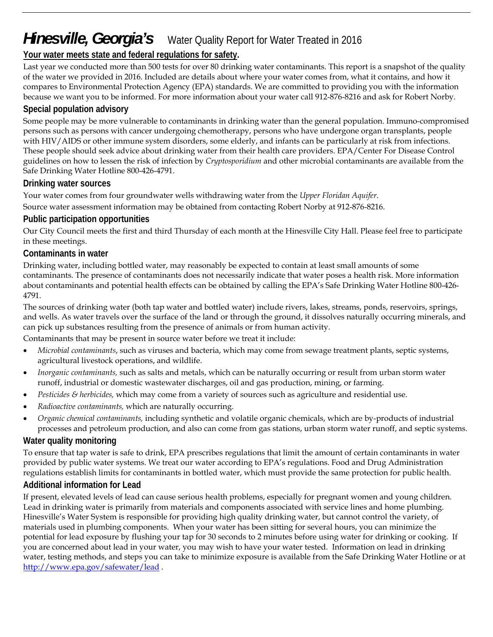# *Hinesville, Georgia's* Water Quality Report for Water Treated in 2016

## **Your water meets state and federal regulations for safety.**

Last year we conducted more than 500 tests for over 80 drinking water contaminants. This report is a snapshot of the quality of the water we provided in 2016. Included are details about where your water comes from, what it contains, and how it compares to Environmental Protection Agency (EPA) standards. We are committed to providing you with the information because we want you to be informed. For more information about your water call 912-876-8216 and ask for Robert Norby.

## **Special population advisory**

Some people may be more vulnerable to contaminants in drinking water than the general population. Immuno-compromised persons such as persons with cancer undergoing chemotherapy, persons who have undergone organ transplants, people with HIV/AIDS or other immune system disorders, some elderly, and infants can be particularly at risk from infections. These people should seek advice about drinking water from their health care providers. EPA/Center For Disease Control guidelines on how to lessen the risk of infection by *Cryptosporidium* and other microbial contaminants are available from the Safe Drinking Water Hotline 800-426-4791.

## **Drinking water sources**

Your water comes from four groundwater wells withdrawing water from the *Upper Floridan Aquifer*. Source water assessment information may be obtained from contacting Robert Norby at 912-876-8216.

## **Public participation opportunities**

Our City Council meets the first and third Thursday of each month at the Hinesville City Hall. Please feel free to participate in these meetings.

### **Contaminants in water**

Drinking water, including bottled water, may reasonably be expected to contain at least small amounts of some contaminants. The presence of contaminants does not necessarily indicate that water poses a health risk. More information about contaminants and potential health effects can be obtained by calling the EPA's Safe Drinking Water Hotline 800-426- 4791.

The sources of drinking water (both tap water and bottled water) include rivers, lakes, streams, ponds, reservoirs, springs, and wells. As water travels over the surface of the land or through the ground, it dissolves naturally occurring minerals, and can pick up substances resulting from the presence of animals or from human activity.

Contaminants that may be present in source water before we treat it include:

- *Microbial contaminants*, such as viruses and bacteria, which may come from sewage treatment plants, septic systems, agricultural livestock operations, and wildlife.
- *Inorganic contaminants,* such as salts and metals, which can be naturally occurring or result from urban storm water runoff, industrial or domestic wastewater discharges, oil and gas production, mining, or farming.
- *Pesticides & herbicides,* which may come from a variety of sources such as agriculture and residential use.
- *Radioactive contaminants,* which are naturally occurring.
- *Organic chemical contaminants,* including synthetic and volatile organic chemicals, which are by-products of industrial processes and petroleum production, and also can come from gas stations, urban storm water runoff, and septic systems.

## **Water quality monitoring**

To ensure that tap water is safe to drink, EPA prescribes regulations that limit the amount of certain contaminants in water provided by public water systems. We treat our water according to EPA's regulations. Food and Drug Administration regulations establish limits for contaminants in bottled water, which must provide the same protection for public health.

### **Additional information for Lead**

If present, elevated levels of lead can cause serious health problems, especially for pregnant women and young children. Lead in drinking water is primarily from materials and components associated with service lines and home plumbing. Hinesville's Water System is responsible for providing high quality drinking water, but cannot control the variety, of materials used in plumbing components. When your water has been sitting for several hours, you can minimize the potential for lead exposure by flushing your tap for 30 seconds to 2 minutes before using water for drinking or cooking. If you are concerned about lead in your water, you may wish to have your water tested. Information on lead in drinking water, testing methods, and steps you can take to minimize exposure is available from the Safe Drinking Water Hotline or at http://www.epa.gov/safewater/lead .